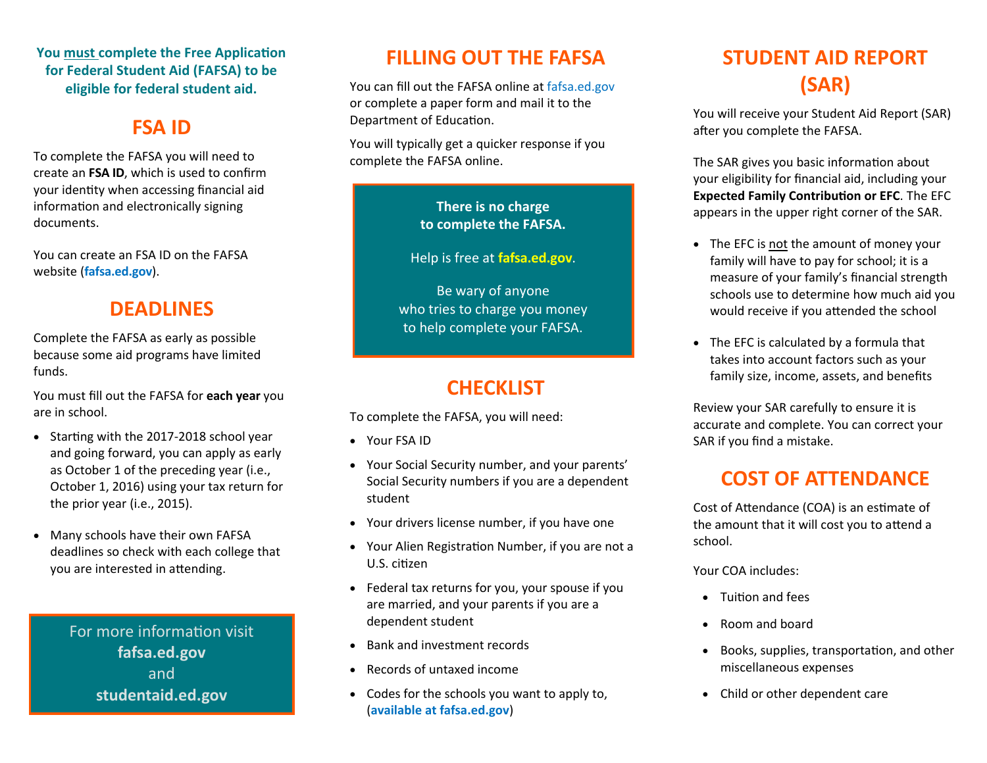#### **You must complete the Free Application for Federal Student Aid (FAFSA) to be eligible for federal student aid.**

### **FSA ID**

To complete the FAFSA you will need to create an **FSA ID**, which is used to con firm your identity when accessing financial aid information and electronically signing documents.

You can create an FSA ID on the FAFSA website (**fafsa.ed.gov**).

### **DEADLINES**

Complete the FAFSA as early as possible because some aid programs have limited funds.

You must fill out the FAFSA for **each year** you are in school.

- Starting with the 2017-2018 school year and going forward, you can apply as early as October 1 of the preceding year (i.e., October 1, 2016) using your tax return for the prior year (i.e., 2015).
- Many schools have their own FAFSA deadlines so check with each college that you are interested in attending.

For more information visit **fafsa.ed.gov**  and **studentaid.ed.gov** 

### **FILLING OUT THE FAFSA**

You can fill out the FAFSA online at fafsa.ed.gov or complete a paper form and mail it to the Department of Education.

You will typically get a quicker response if you complete the FAFSA online.

#### **There is no charge to complete the FAFSA.**

Help is free at **fafsa.ed.gov**.

Be wary of anyone who tries to charge you money to help complete your FAFSA.

## **CHECKLIST**

To complete the FAFSA, you will need:

- Your FSA ID
- Your Social Security number, and your parents' Social Security numbers if you are a dependent student
- Your drivers license number, if you have one
- Your Alien Registration Number, if you are not a U.S. citizen
- Federal tax returns for you, your spouse if you are married, and your parents if you are a dependent student
- Bank and investment records
- Records of untaxed income
- Codes for the schools you want to apply to, (**available at fafsa.ed.gov**)

# **STUDENT AID REPORT (SAR)**

You will receive your Student Aid Report (SAR) after you complete the FAFSA.

The SAR gives you basic information about your eligibility for financial aid, including your **Expected Family Contribution or EFC**. The EFC appears in the upper right corner of the SAR.

- The EFC is not the amount of money your family will have to pay for school; it is a measure of your family's financial strength schools use to determine how much aid you would receive if you attended the school
- The EFC is calculated by a formula that takes into account factors such as your family size, income, assets, and bene fits

Review your SAR carefully to ensure it is accurate and complete. You can correct your SAR if you find a mistake.

## **COST OF ATTENDANCE**

Cost of Attendance (COA) is an estimate of the amount that it will cost you to attend a school.

Your COA includes:

- Tuition and fees
- Room and board
- Books, supplies, transportation, and other miscellaneous expenses
- Child or other dependent care